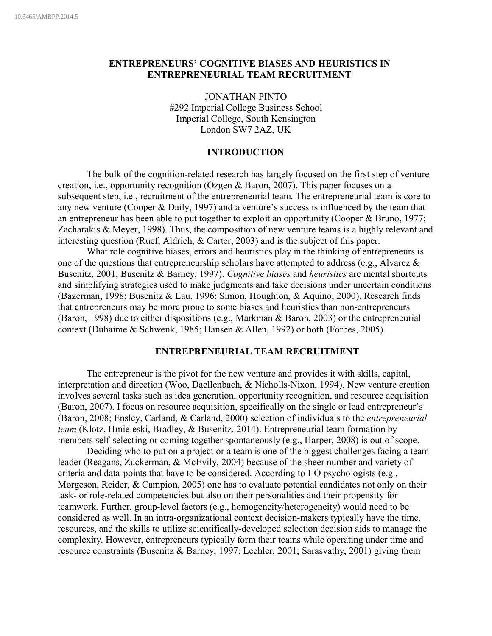# **ENTREPRENEURS' COGNITIVE BIASES AND HEURISTICS IN ENTREPRENEURIAL TEAM RECRUITMENT**

JONATHAN PINTO #292 Imperial College Business School Imperial College, South Kensington London SW7 2AZ, UK

# **INTRODUCTION**

The bulk of the cognition-related research has largely focused on the first step of venture creation, i.e., opportunity recognition (Ozgen & Baron, 2007). This paper focuses on a subsequent step, i.e., recruitment of the entrepreneurial team. The entrepreneurial team is core to any new venture (Cooper & Daily, 1997) and a venture's success is influenced by the team that an entrepreneur has been able to put together to exploit an opportunity (Cooper & Bruno, 1977; Zacharakis & Meyer, 1998). Thus, the composition of new venture teams is a highly relevant and interesting question (Ruef, Aldrich, & Carter, 2003) and is the subject of this paper.

What role cognitive biases, errors and heuristics play in the thinking of entrepreneurs is one of the questions that entrepreneurship scholars have attempted to address (e.g., Alvarez & Busenitz, 2001; Busenitz & Barney, 1997). *Cognitive biases* and *heuristics* are mental shortcuts and simplifying strategies used to make judgments and take decisions under uncertain conditions (Bazerman, 1998; Busenitz & Lau, 1996; Simon, Houghton, & Aquino, 2000). Research finds that entrepreneurs may be more prone to some biases and heuristics than non-entrepreneurs (Baron, 1998) due to either dispositions (e.g., Markman & Baron, 2003) or the entrepreneurial context (Duhaime & Schwenk, 1985; Hansen & Allen, 1992) or both (Forbes, 2005).

## **ENTREPRENEURIAL TEAM RECRUITMENT**

The entrepreneur is the pivot for the new venture and provides it with skills, capital, interpretation and direction (Woo, Daellenbach, & Nicholls-Nixon, 1994). New venture creation involves several tasks such as idea generation, opportunity recognition, and resource acquisition (Baron, 2007). I focus on resource acquisition, specifically on the single or lead entrepreneur's (Baron, 2008; Ensley, Carland, & Carland, 2000) selection of individuals to the *entrepreneurial team* (Klotz, Hmieleski, Bradley, & Busenitz, 2014). Entrepreneurial team formation by members self-selecting or coming together spontaneously (e.g., Harper, 2008) is out of scope.

Deciding who to put on a project or a team is one of the biggest challenges facing a team leader (Reagans, Zuckerman, & McEvily, 2004) because of the sheer number and variety of criteria and data-points that have to be considered. According to I-O psychologists (e.g., Morgeson, Reider, & Campion, 2005) one has to evaluate potential candidates not only on their task- or role-related competencies but also on their personalities and their propensity for teamwork. Further, group-level factors (e.g., homogeneity/heterogeneity) would need to be considered as well. In an intra-organizational context decision-makers typically have the time, resources, and the skills to utilize scientifically-developed selection decision aids to manage the complexity. However, entrepreneurs typically form their teams while operating under time and resource constraints (Busenitz & Barney, 1997; Lechler, 2001; Sarasvathy, 2001) giving them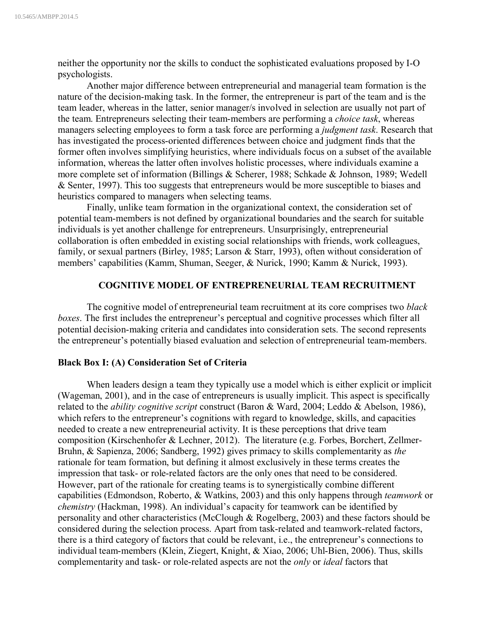neither the opportunity nor the skills to conduct the sophisticated evaluations proposed by I-O psychologists.

Another major difference between entrepreneurial and managerial team formation is the nature of the decision-making task. In the former, the entrepreneur is part of the team and is the team leader, whereas in the latter, senior manager/s involved in selection are usually not part of the team. Entrepreneurs selecting their team-members are performing a *choice task*, whereas managers selecting employees to form a task force are performing a *judgment task*. Research that has investigated the process-oriented differences between choice and judgment finds that the former often involves simplifying heuristics, where individuals focus on a subset of the available information, whereas the latter often involves holistic processes, where individuals examine a more complete set of information (Billings & Scherer, 1988; Schkade & Johnson, 1989; Wedell & Senter, 1997). This too suggests that entrepreneurs would be more susceptible to biases and heuristics compared to managers when selecting teams.

Finally, unlike team formation in the organizational context, the consideration set of potential team-members is not defined by organizational boundaries and the search for suitable individuals is yet another challenge for entrepreneurs. Unsurprisingly, entrepreneurial collaboration is often embedded in existing social relationships with friends, work colleagues, family, or sexual partners (Birley, 1985; Larson & Starr, 1993), often without consideration of members' capabilities (Kamm, Shuman, Seeger, & Nurick, 1990; Kamm & Nurick, 1993).

# **COGNITIVE MODEL OF ENTREPRENEURIAL TEAM RECRUITMENT**

The cognitive model of entrepreneurial team recruitment at its core comprises two *black boxes*. The first includes the entrepreneur's perceptual and cognitive processes which filter all potential decision-making criteria and candidates into consideration sets. The second represents the entrepreneur's potentially biased evaluation and selection of entrepreneurial team-members.

## **Black Box I: (A) Consideration Set of Criteria**

When leaders design a team they typically use a model which is either explicit or implicit (Wageman, 2001), and in the case of entrepreneurs is usually implicit. This aspect is specifically related to the *ability cognitive script* construct (Baron & Ward, 2004; Leddo & Abelson, 1986), which refers to the entrepreneur's cognitions with regard to knowledge, skills, and capacities needed to create a new entrepreneurial activity. It is these perceptions that drive team composition (Kirschenhofer & Lechner, 2012). The literature (e.g. Forbes, Borchert, Zellmer-Bruhn, & Sapienza, 2006; Sandberg, 1992) gives primacy to skills complementarity as *the* rationale for team formation, but defining it almost exclusively in these terms creates the impression that task- or role-related factors are the only ones that need to be considered. However, part of the rationale for creating teams is to synergistically combine different capabilities (Edmondson, Roberto, & Watkins, 2003) and this only happens through *teamwork* or *chemistry* (Hackman, 1998). An individual's capacity for teamwork can be identified by personality and other characteristics (McClough & Rogelberg, 2003) and these factors should be considered during the selection process. Apart from task-related and teamwork-related factors, there is a third category of factors that could be relevant, i.e., the entrepreneur's connections to individual team-members (Klein, Ziegert, Knight, & Xiao, 2006; Uhl-Bien, 2006). Thus, skills complementarity and task- or role-related aspects are not the *only* or *ideal* factors that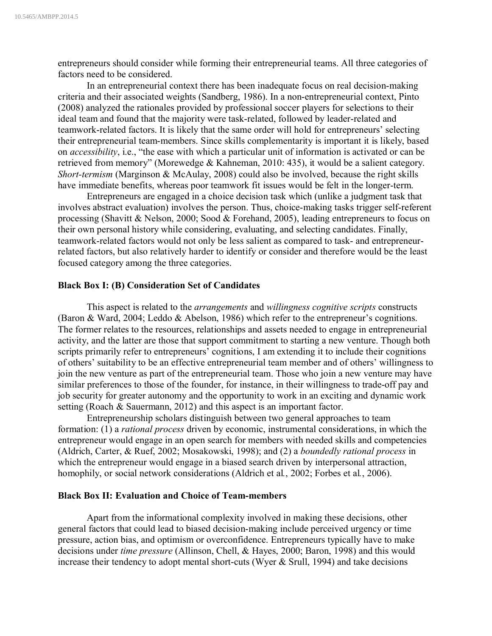entrepreneurs should consider while forming their entrepreneurial teams. All three categories of factors need to be considered.

In an entrepreneurial context there has been inadequate focus on real decision-making criteria and their associated weights (Sandberg, 1986). In a non-entrepreneurial context, Pinto (2008) analyzed the rationales provided by professional soccer players for selections to their ideal team and found that the majority were task-related, followed by leader-related and teamwork-related factors. It is likely that the same order will hold for entrepreneurs' selecting their entrepreneurial team-members. Since skills complementarity is important it is likely, based on *accessibility*, i.e., "the ease with which a particular unit of information is activated or can be retrieved from memory" (Morewedge & Kahneman, 2010: 435), it would be a salient category. *Short-termism* (Marginson & McAulay, 2008) could also be involved, because the right skills have immediate benefits, whereas poor teamwork fit issues would be felt in the longer-term.

Entrepreneurs are engaged in a choice decision task which (unlike a judgment task that involves abstract evaluation) involves the person. Thus, choice-making tasks trigger self-referent processing (Shavitt & Nelson, 2000; Sood & Forehand, 2005), leading entrepreneurs to focus on their own personal history while considering, evaluating, and selecting candidates. Finally, teamwork-related factors would not only be less salient as compared to task- and entrepreneurrelated factors, but also relatively harder to identify or consider and therefore would be the least focused category among the three categories.

### **Black Box I: (B) Consideration Set of Candidates**

This aspect is related to the *arrangements* and *willingness cognitive scripts* constructs (Baron & Ward, 2004; Leddo & Abelson, 1986) which refer to the entrepreneur's cognitions. The former relates to the resources, relationships and assets needed to engage in entrepreneurial activity, and the latter are those that support commitment to starting a new venture. Though both scripts primarily refer to entrepreneurs' cognitions, I am extending it to include their cognitions of others' suitability to be an effective entrepreneurial team member and of others' willingness to join the new venture as part of the entrepreneurial team. Those who join a new venture may have similar preferences to those of the founder, for instance, in their willingness to trade-off pay and job security for greater autonomy and the opportunity to work in an exciting and dynamic work setting (Roach & Sauermann, 2012) and this aspect is an important factor.

Entrepreneurship scholars distinguish between two general approaches to team formation: (1) a *rational process* driven by economic, instrumental considerations, in which the entrepreneur would engage in an open search for members with needed skills and competencies (Aldrich, Carter, & Ruef, 2002; Mosakowski, 1998); and (2) a *boundedly rational process* in which the entrepreneur would engage in a biased search driven by interpersonal attraction, homophily, or social network considerations (Aldrich et al*.*, 2002; Forbes et al*.*, 2006).

## **Black Box II: Evaluation and Choice of Team-members**

Apart from the informational complexity involved in making these decisions, other general factors that could lead to biased decision-making include perceived urgency or time pressure, action bias, and optimism or overconfidence. Entrepreneurs typically have to make decisions under *time pressure* (Allinson, Chell, & Hayes, 2000; Baron, 1998) and this would increase their tendency to adopt mental short-cuts (Wyer & Srull, 1994) and take decisions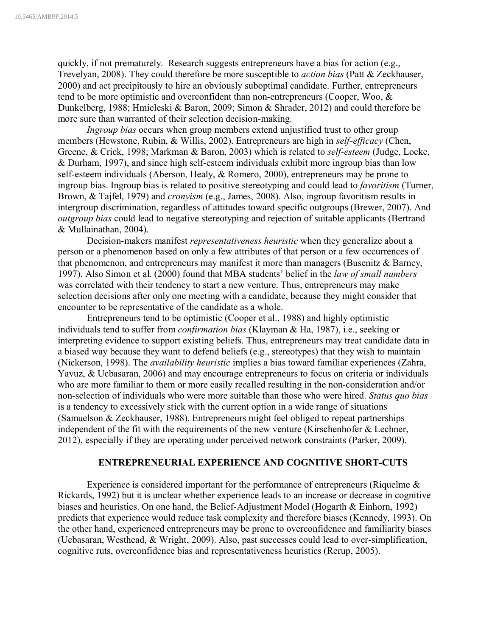quickly, if not prematurely. Research suggests entrepreneurs have a bias for action (e.g., Trevelyan, 2008). They could therefore be more susceptible to *action bias* (Patt & Zeckhauser, 2000) and act precipitously to hire an obviously suboptimal candidate. Further, entrepreneurs tend to be more optimistic and overconfident than non-entrepreneurs (Cooper, Woo, & Dunkelberg, 1988; Hmieleski & Baron, 2009; Simon & Shrader, 2012) and could therefore be more sure than warranted of their selection decision-making.

*Ingroup bias* occurs when group members extend unjustified trust to other group members (Hewstone, Rubin, & Willis, 2002). Entrepreneurs are high in *self-efficacy* (Chen, Greene, & Crick, 1998; Markman & Baron, 2003) which is related to *self-esteem* (Judge, Locke, & Durham, 1997), and since high self-esteem individuals exhibit more ingroup bias than low self-esteem individuals (Aberson, Healy, & Romero, 2000), entrepreneurs may be prone to ingroup bias. Ingroup bias is related to positive stereotyping and could lead to *favoritism* (Turner, Brown, & Tajfel, 1979) and *cronyism* (e.g., James, 2008). Also, ingroup favoritism results in intergroup discrimination, regardless of attitudes toward specific outgroups (Brewer, 2007). And *outgroup bias* could lead to negative stereotyping and rejection of suitable applicants (Bertrand & Mullainathan, 2004).

Decision-makers manifest *representativeness heuristic* when they generalize about a person or a phenomenon based on only a few attributes of that person or a few occurrences of that phenomenon, and entrepreneurs may manifest it more than managers (Busenitz & Barney, 1997). Also Simon et al. (2000) found that MBA students' belief in the *law of small numbers* was correlated with their tendency to start a new venture. Thus, entrepreneurs may make selection decisions after only one meeting with a candidate, because they might consider that encounter to be representative of the candidate as a whole.

Entrepreneurs tend to be optimistic (Cooper et al., 1988) and highly optimistic individuals tend to suffer from *confirmation bias* (Klayman & Ha, 1987), i.e., seeking or interpreting evidence to support existing beliefs. Thus, entrepreneurs may treat candidate data in a biased way because they want to defend beliefs (e.g., stereotypes) that they wish to maintain (Nickerson, 1998). The *availability heuristic* implies a bias toward familiar experiences (Zahra, Yavuz, & Ucbasaran, 2006) and may encourage entrepreneurs to focus on criteria or individuals who are more familiar to them or more easily recalled resulting in the non-consideration and/or non-selection of individuals who were more suitable than those who were hired. *Status quo bias* is a tendency to excessively stick with the current option in a wide range of situations (Samuelson & Zeckhauser, 1988). Entrepreneurs might feel obliged to repeat partnerships independent of the fit with the requirements of the new venture (Kirschenhofer & Lechner, 2012), especially if they are operating under perceived network constraints (Parker, 2009).

## **ENTREPRENEURIAL EXPERIENCE AND COGNITIVE SHORT-CUTS**

Experience is considered important for the performance of entrepreneurs (Riquelme  $\&$ Rickards, 1992) but it is unclear whether experience leads to an increase or decrease in cognitive biases and heuristics. On one hand, the Belief-Adjustment Model (Hogarth & Einhorn, 1992) predicts that experience would reduce task complexity and therefore biases (Kennedy, 1993). On the other hand, experienced entrepreneurs may be prone to overconfidence and familiarity biases (Ucbasaran, Westhead, & Wright, 2009). Also, past successes could lead to over-simplification, cognitive ruts, overconfidence bias and representativeness heuristics (Rerup, 2005).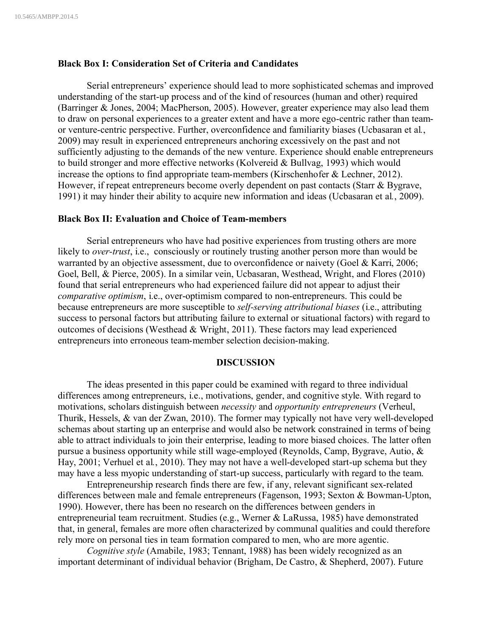### **Black Box I: Consideration Set of Criteria and Candidates**

Serial entrepreneurs' experience should lead to more sophisticated schemas and improved understanding of the start-up process and of the kind of resources (human and other) required (Barringer & Jones, 2004; MacPherson, 2005). However, greater experience may also lead them to draw on personal experiences to a greater extent and have a more ego-centric rather than teamor venture-centric perspective. Further, overconfidence and familiarity biases (Ucbasaran et al*.*, 2009) may result in experienced entrepreneurs anchoring excessively on the past and not sufficiently adjusting to the demands of the new venture. Experience should enable entrepreneurs to build stronger and more effective networks (Kolvereid & Bullvag, 1993) which would increase the options to find appropriate team-members (Kirschenhofer & Lechner, 2012). However, if repeat entrepreneurs become overly dependent on past contacts (Starr & Bygrave, 1991) it may hinder their ability to acquire new information and ideas (Ucbasaran et al*.*, 2009).

#### **Black Box II: Evaluation and Choice of Team-members**

Serial entrepreneurs who have had positive experiences from trusting others are more likely to *over-trust*, i.e., consciously or routinely trusting another person more than would be warranted by an objective assessment, due to overconfidence or naivety (Goel & Karri, 2006; Goel, Bell, & Pierce, 2005). In a similar vein, Ucbasaran, Westhead, Wright, and Flores (2010) found that serial entrepreneurs who had experienced failure did not appear to adjust their *comparative optimism*, i.e., over-optimism compared to non-entrepreneurs. This could be because entrepreneurs are more susceptible to *self-serving attributional biases* (i.e., attributing success to personal factors but attributing failure to external or situational factors) with regard to outcomes of decisions (Westhead & Wright, 2011). These factors may lead experienced entrepreneurs into erroneous team-member selection decision-making.

### **DISCUSSION**

The ideas presented in this paper could be examined with regard to three individual differences among entrepreneurs, i.e., motivations, gender, and cognitive style. With regard to motivations, scholars distinguish between *necessity* and *opportunity entrepreneurs* (Verheul, Thurik, Hessels, & van der Zwan, 2010). The former may typically not have very well-developed schemas about starting up an enterprise and would also be network constrained in terms of being able to attract individuals to join their enterprise, leading to more biased choices. The latter often pursue a business opportunity while still wage-employed (Reynolds, Camp, Bygrave, Autio, & Hay, 2001; Verhuel et al*.*, 2010). They may not have a well-developed start-up schema but they may have a less myopic understanding of start-up success, particularly with regard to the team.

Entrepreneurship research finds there are few, if any, relevant significant sex-related differences between male and female entrepreneurs (Fagenson, 1993; Sexton & Bowman-Upton, 1990). However, there has been no research on the differences between genders in entrepreneurial team recruitment. Studies (e.g., Werner & LaRussa, 1985) have demonstrated that, in general, females are more often characterized by communal qualities and could therefore rely more on personal ties in team formation compared to men, who are more agentic.

*Cognitive style* (Amabile, 1983; Tennant, 1988) has been widely recognized as an important determinant of individual behavior (Brigham, De Castro, & Shepherd, 2007). Future